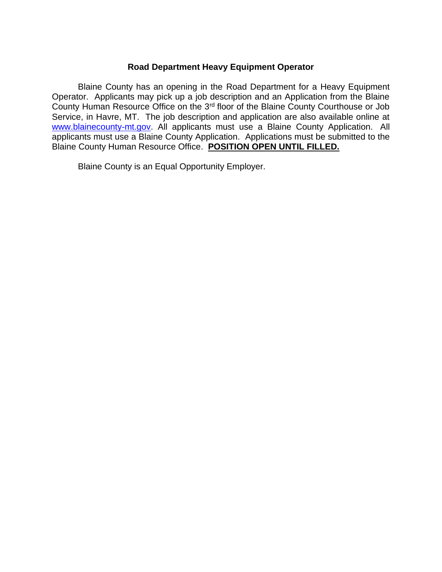#### **Road Department Heavy Equipment Operator**

Blaine County has an opening in the Road Department for a Heavy Equipment Operator. Applicants may pick up a job description and an Application from the Blaine County Human Resource Office on the 3rd floor of the Blaine County Courthouse or Job Service, in Havre, MT. The job description and application are also available online at [www.blainecounty-mt.gov.](http://www.blainecounty-mt.gov/) All applicants must use a Blaine County Application. All applicants must use a Blaine County Application. Applications must be submitted to the Blaine County Human Resource Office. **POSITION OPEN UNTIL FILLED.**

Blaine County is an Equal Opportunity Employer.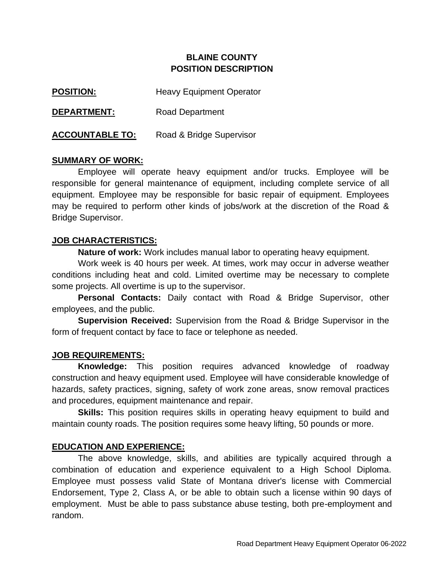## **BLAINE COUNTY POSITION DESCRIPTION**

| <b>Heavy Equipment Operator</b> |
|---------------------------------|

**DEPARTMENT:** Road Department

**ACCOUNTABLE TO:** Road & Bridge Supervisor

#### **SUMMARY OF WORK:**

Employee will operate heavy equipment and/or trucks. Employee will be responsible for general maintenance of equipment, including complete service of all equipment. Employee may be responsible for basic repair of equipment. Employees may be required to perform other kinds of jobs/work at the discretion of the Road & Bridge Supervisor.

#### **JOB CHARACTERISTICS:**

**Nature of work:** Work includes manual labor to operating heavy equipment.

Work week is 40 hours per week. At times, work may occur in adverse weather conditions including heat and cold. Limited overtime may be necessary to complete some projects. All overtime is up to the supervisor.

**Personal Contacts:** Daily contact with Road & Bridge Supervisor, other employees, and the public.

**Supervision Received:** Supervision from the Road & Bridge Supervisor in the form of frequent contact by face to face or telephone as needed.

#### **JOB REQUIREMENTS:**

**Knowledge:** This position requires advanced knowledge of roadway construction and heavy equipment used. Employee will have considerable knowledge of hazards, safety practices, signing, safety of work zone areas, snow removal practices and procedures, equipment maintenance and repair.

**Skills:** This position requires skills in operating heavy equipment to build and maintain county roads. The position requires some heavy lifting, 50 pounds or more.

#### **EDUCATION AND EXPERIENCE:**

The above knowledge, skills, and abilities are typically acquired through a combination of education and experience equivalent to a High School Diploma. Employee must possess valid State of Montana driver's license with Commercial Endorsement, Type 2, Class A, or be able to obtain such a license within 90 days of employment. Must be able to pass substance abuse testing, both pre-employment and random.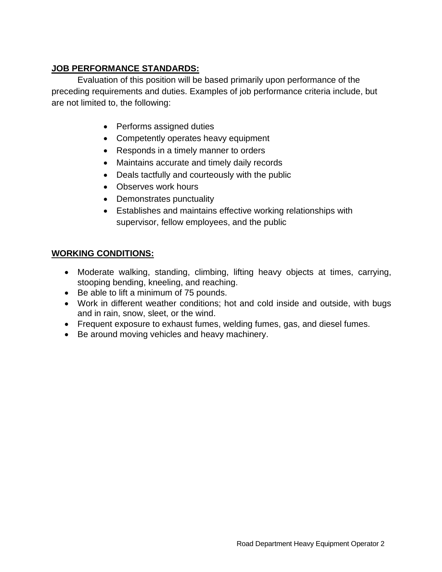# **JOB PERFORMANCE STANDARDS:**

Evaluation of this position will be based primarily upon performance of the preceding requirements and duties. Examples of job performance criteria include, but are not limited to, the following:

- Performs assigned duties
- Competently operates heavy equipment
- Responds in a timely manner to orders
- Maintains accurate and timely daily records
- Deals tactfully and courteously with the public
- Observes work hours
- Demonstrates punctuality
- Establishes and maintains effective working relationships with supervisor, fellow employees, and the public

## **WORKING CONDITIONS:**

- Moderate walking, standing, climbing, lifting heavy objects at times, carrying, stooping bending, kneeling, and reaching.
- Be able to lift a minimum of 75 pounds.
- Work in different weather conditions; hot and cold inside and outside, with bugs and in rain, snow, sleet, or the wind.
- Frequent exposure to exhaust fumes, welding fumes, gas, and diesel fumes.
- Be around moving vehicles and heavy machinery.